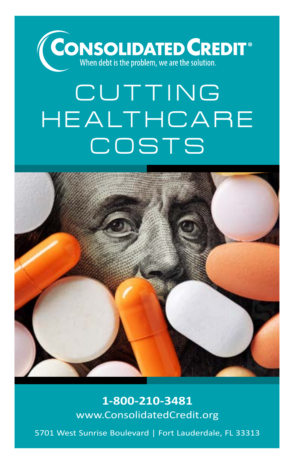

# **CUTTING HEALTHCARE COSTS**



**1-800-210-3481** www.ConsolidatedCredit.org

5701 West Sunrise Boulevard | Fort Lauderdale, FL 33313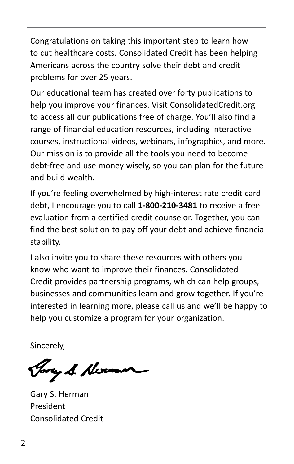Congratulations on taking this important step to learn how to cut healthcare costs. Consolidated Credit has been helping Americans across the country solve their debt and credit problems for over 25 years.

Our educational team has created over forty publications to help you improve your finances. Visit ConsolidatedCredit.org to access all our publications free of charge. You'll also find a range of financial education resources, including interactive courses, instructional videos, webinars, infographics, and more. Our mission is to provide all the tools you need to become debt-free and use money wisely, so you can plan for the future and build wealth.

If you're feeling overwhelmed by high-interest rate credit card debt, I encourage you to call **1-800-210-3481** to receive a free evaluation from a certified credit counselor. Together, you can find the best solution to pay off your debt and achieve financial stability.

I also invite you to share these resources with others you know who want to improve their finances. Consolidated Credit provides partnership programs, which can help groups, businesses and communities learn and grow together. If you're interested in learning more, please call us and we'll be happy to help you customize a program for your organization.

Sincerely,

Jary S. Nexu

Gary S. Herman President Consolidated Credit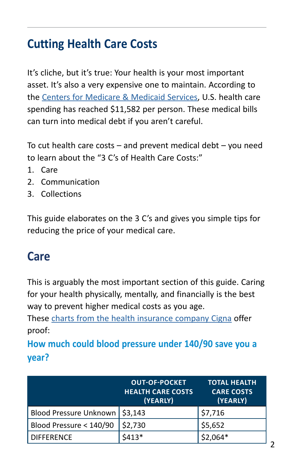# **Cutting Health Care Costs**

It's cliche, but it's true: Your health is your most important asset. It's also a very expensive one to maintain. According to the [Centers for Medicare & Medicaid Services](https://www.cms.gov/Research-Statistics-Data-and-Systems/Statistics-Trends-and-Reports/NationalHealthExpendData/NationalHealthAccountsHistorical#:~:text=U.S.%20health%20care%20spending%20grew,trillion%20or%20%2411%2C582%20per%20person), U.S. health care spending has reached \$11,582 per person. These medical bills can turn into medical debt if you aren't careful.

To cut health care costs – and prevent medical debt – you need to learn about the "3 C's of Health Care Costs:"

- 1. Care
- 2. Communication
- 3. Collections

This guide elaborates on the 3 C's and gives you simple tips for reducing the price of your medical care.

#### **Care**

This is arguably the most important section of this guide. Caring for your health physically, mentally, and financially is the best way to prevent higher medical costs as you age.

These [charts from the health insurance company Cigna](https://www.cigna.com/individuals-families/understanding-insurance/preventive-care) offer proof:

**How much could blood pressure under 140/90 save you a year?**

|                                  | <b>OUT-OF-POCKET</b><br><b>HEALTH CARE COSTS</b><br>(YEARLY) | <b>TOTAL HEALTH</b><br><b>CARE COSTS</b><br>(YEARLY) |
|----------------------------------|--------------------------------------------------------------|------------------------------------------------------|
| Blood Pressure Unknown   \$3,143 |                                                              | \$7,716                                              |
| Blood Pressure < 140/90          | \$2,730                                                      | \$5,652                                              |
| <b>DIFFERENCE</b>                | $$413*$                                                      | $$2,064*$                                            |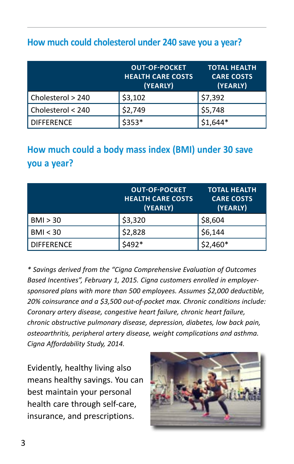#### **How much could cholesterol under 240 save you a year?**

|                   | <b>OUT-OF-POCKET</b><br><b>HEALTH CARE COSTS</b><br>(YEARLY) | <b>TOTAL HEALTH</b><br><b>CARE COSTS</b><br>(YEARLY) |
|-------------------|--------------------------------------------------------------|------------------------------------------------------|
| Cholesterol > 240 | \$3,102                                                      | \$7,392                                              |
| Cholesterol < 240 | \$2,749                                                      | \$5,748                                              |
| <b>DIFFERENCE</b> | $$353*$                                                      | $$1,644*$                                            |

#### **How much could a body mass index (BMI) under 30 save you a year?**

|                   | <b>OUT-OF-POCKET</b><br><b>HEALTH CARE COSTS</b><br>(YEARLY) | <b>TOTAL HEALTH</b><br><b>CARE COSTS</b><br>(YEARLY) |
|-------------------|--------------------------------------------------------------|------------------------------------------------------|
| BMI > 30          | \$3,320                                                      | \$8,604                                              |
| BMI < 30          | \$2,828                                                      | \$6,144                                              |
| <b>DIFFERENCE</b> | $5492*$                                                      | $$2,460*$                                            |

*\* Savings derived from the "Cigna Comprehensive Evaluation of Outcomes Based Incentives", February 1, 2015. Cigna customers enrolled in employersponsored plans with more than 500 employees. Assumes \$2,000 deductible, 20% coinsurance and a \$3,500 out-of-pocket max. Chronic conditions include: Coronary artery disease, congestive heart failure, chronic heart failure, chronic obstructive pulmonary disease, depression, diabetes, low back pain, osteoarthritis, peripheral artery disease, weight complications and asthma. Cigna Affordability Study, 2014.*

Evidently, healthy living also means healthy savings. You can best maintain your personal health care through self-care, insurance, and prescriptions.

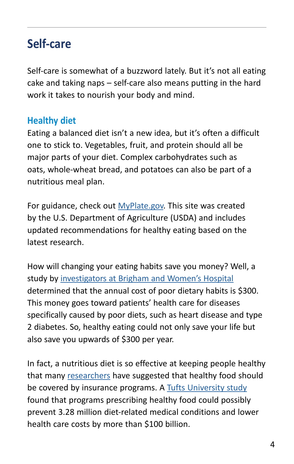## **Self-care**

Self-care is somewhat of a buzzword lately. But it's not all eating cake and taking naps – self-care also means putting in the hard work it takes to nourish your body and mind.

#### **Healthy diet**

Eating a balanced diet isn't a new idea, but it's often a difficult one to stick to. Vegetables, fruit, and protein should all be major parts of your diet. Complex carbohydrates such as oats, whole-wheat bread, and potatoes can also be part of a nutritious meal plan.

For guidance, check out [MyPlate.gov](https://www.myplate.gov). This site was created by the U.S. Department of Agriculture (USDA) and includes updated recommendations for healthy eating based on the latest research.

How will changing your eating habits save you money? Well, a study by [investigators at Brigham and Women's Hospital](https://www.sciencedaily.com/releases/2019/12/191217141314.htm) determined that the annual cost of poor dietary habits is \$300. This money goes toward patients' health care for diseases specifically caused by poor diets, such as heart disease and type 2 diabetes. So, healthy eating could not only save your life but also save you upwards of \$300 per year.

In fact, a nutritious diet is so effective at keeping people healthy that many [researchers](https://www.marketwatch.com/story/how-prescribing-healthy-food-could-save-billions-of-dollars-in-health-care-costs-2019-03-21) have suggested that healthy food should be covered by insurance programs. A [Tufts University study](https://journals.plos.org/plosmedicine/article?id=10.1371/journal.pmed.1002761) found that programs prescribing healthy food could possibly prevent 3.28 million diet-related medical conditions and lower health care costs by more than \$100 billion.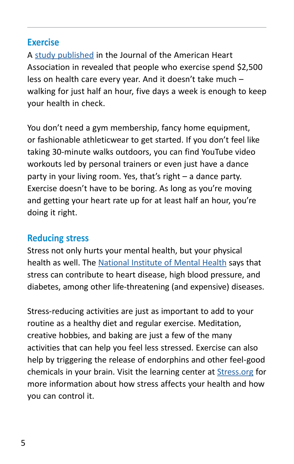#### **Exercise**

A [study published](https://www.nytimes.com/2016/09/07/well/move/whats-the-value-of-exercise-2500.html) in the Journal of the American Heart Association in revealed that people who exercise spend \$2,500 less on health care every year. And it doesn't take much – walking for just half an hour, five days a week is enough to keep your health in check.

You don't need a gym membership, fancy home equipment, or fashionable athleticwear to get started. If you don't feel like taking 30-minute walks outdoors, you can find YouTube video workouts led by personal trainers or even just have a dance party in your living room. Yes, that's right – a dance party. Exercise doesn't have to be boring. As long as you're moving and getting your heart rate up for at least half an hour, you're doing it right.

#### **Reducing stress**

Stress not only hurts your mental health, but your physical health as well. The [National Institute of Mental Health](https://www.nimh.nih.gov/health/publications/stress/) says that stress can contribute to heart disease, high blood pressure, and diabetes, among other life-threatening (and expensive) diseases.

Stress-reducing activities are just as important to add to your routine as a healthy diet and regular exercise. Meditation, creative hobbies, and baking are just a few of the many activities that can help you feel less stressed. Exercise can also help by triggering the release of endorphins and other feel-good chemicals in your brain. Visit the learning center at [Stress.org](https://www.stress.org/education) for more information about how stress affects your health and how you can control it.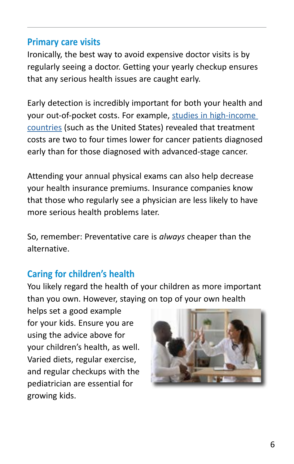#### **Primary care visits**

Ironically, the best way to avoid expensive doctor visits is by regularly seeing a doctor. Getting your yearly checkup ensures that any serious health issues are caught early.

Early detection is incredibly important for both your health and your out-of-pocket costs. For example, [studies in high-income](https://ascopost.com/News/59711)  [countries](https://ascopost.com/News/59711) (such as the United States) revealed that treatment costs are two to four times lower for cancer patients diagnosed early than for those diagnosed with advanced-stage cancer.

Attending your annual physical exams can also help decrease your health insurance premiums. Insurance companies know that those who regularly see a physician are less likely to have more serious health problems later.

So, remember: Preventative care is *always* cheaper than the alternative.

#### **Caring for children's health**

You likely regard the health of your children as more important than you own. However, staying on top of your own health

helps set a good example for your kids. Ensure you are using the advice above for your children's health, as well. Varied diets, regular exercise, and regular checkups with the pediatrician are essential for growing kids.

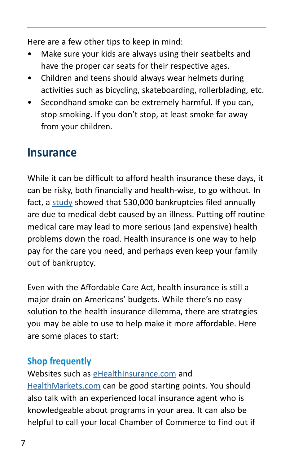Here are a few other tips to keep in mind:

- Make sure your kids are always using their seatbelts and have the proper car seats for their respective ages.
- Children and teens should always wear helmets during activities such as bicycling, skateboarding, rollerblading, etc.
- Secondhand smoke can be extremely harmful. If you can, stop smoking. If you don't stop, at least smoke far away from your children.

## **Insurance**

While it can be difficult to afford health insurance these days, it can be risky, both financially and health-wise, to go without. In fact, a [study](https://www.theguardian.com/us-news/2019/nov/14/health-insurance-medical-bankruptcy-debt#:~:text=According%20to%20a%20study%20published,due%20to%20a%20medical%20illness.) showed that 530,000 bankruptcies filed annually are due to medical debt caused by an illness. Putting off routine medical care may lead to more serious (and expensive) health problems down the road. Health insurance is one way to help pay for the care you need, and perhaps even keep your family out of bankruptcy.

Even with the Affordable Care Act, health insurance is still a major drain on Americans' budgets. While there's no easy solution to the health insurance dilemma, there are strategies you may be able to use to help make it more affordable. Here are some places to start:

#### **Shop frequently**

Websites such as [eHealthInsurance.com](https://www.ehealthinsurance.com) and [HealthMarkets.com](https://www.healthmarkets.com/health-insurance/) can be good starting points. You should also talk with an experienced local insurance agent who is knowledgeable about programs in your area. It can also be helpful to call your local Chamber of Commerce to find out if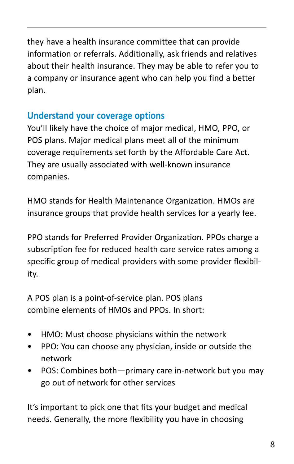they have a health insurance committee that can provide information or referrals. Additionally, ask friends and relatives about their health insurance. They may be able to refer you to a company or insurance agent who can help you find a better plan.

#### **Understand your coverage options**

You'll likely have the choice of major medical, HMO, PPO, or POS plans. Major medical plans meet all of the minimum coverage requirements set forth by the Affordable Care Act. They are usually associated with well-known insurance companies.

HMO stands for Health Maintenance Organization. HMOs are insurance groups that provide health services for a yearly fee.

PPO stands for Preferred Provider Organization. PPOs charge a subscription fee for reduced health care service rates among a specific group of medical providers with some provider flexibility.

A POS plan is a point-of-service plan. POS plans combine elements of HMOs and PPOs. In short:

- HMO: Must choose physicians within the network
- PPO: You can choose any physician, inside or outside the network
- POS: Combines both—primary care in-network but you may go out of network for other services

It's important to pick one that fits your budget and medical needs. Generally, the more flexibility you have in choosing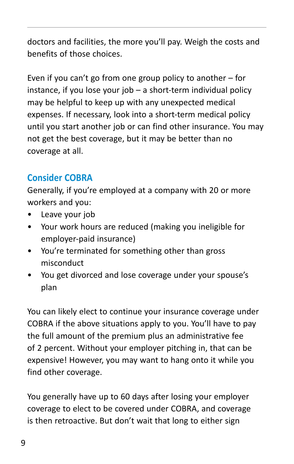doctors and facilities, the more you'll pay. Weigh the costs and benefits of those choices.

Even if you can't go from one group policy to another – for instance, if you lose your job – a short-term individual policy may be helpful to keep up with any unexpected medical expenses. If necessary, look into a short-term medical policy until you start another job or can find other insurance. You may not get the best coverage, but it may be better than no coverage at all.

#### **Consider COBRA**

Generally, if you're employed at a company with 20 or more workers and you:

- Leave your job
- Your work hours are reduced (making you ineligible for employer-paid insurance)
- You're terminated for something other than gross misconduct
- You get divorced and lose coverage under your spouse's plan

You can likely elect to continue your insurance coverage under COBRA if the above situations apply to you. You'll have to pay the full amount of the premium plus an administrative fee of 2 percent. Without your employer pitching in, that can be expensive! However, you may want to hang onto it while you find other coverage.

You generally have up to 60 days after losing your employer coverage to elect to be covered under COBRA, and coverage is then retroactive. But don't wait that long to either sign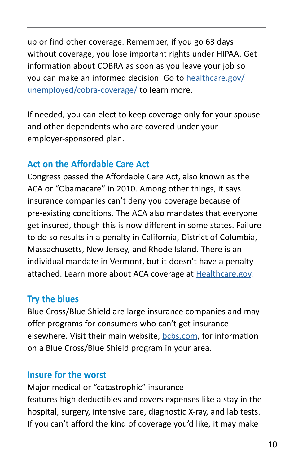up or find other coverage. Remember, if you go 63 days without coverage, you lose important rights under HIPAA. Get information about COBRA as soon as you leave your job so you can make an informed decision. Go to [healthcare.gov/](https://www.healthcare.gov/unemployed/cobra-coverage/) [unemployed/cobra-coverage/](https://www.healthcare.gov/unemployed/cobra-coverage/) to learn more.

If needed, you can elect to keep coverage only for your spouse and other dependents who are covered under your employer-sponsored plan.

#### **Act on the Affordable Care Act**

Congress passed the Affordable Care Act, also known as the ACA or "Obamacare" in 2010. Among other things, it says insurance companies can't deny you coverage because of pre-existing conditions. The ACA also mandates that everyone get insured, though this is now different in some states. Failure to do so results in a penalty in California, District of Columbia, Massachusetts, New Jersey, and Rhode Island. There is an individual mandate in Vermont, but it doesn't have a penalty attached. Learn more about ACA coverage at [Healthcare.gov.](https://www.healthcare.gov)

#### **Try the blues**

Blue Cross/Blue Shield are large insurance companies and may offer programs for consumers who can't get insurance elsewhere. Visit their main website, [bcbs.com](https://www.bcbs.com), for information on a Blue Cross/Blue Shield program in your area.

#### **Insure for the worst**

Major medical or "catastrophic" insurance features high deductibles and covers expenses like a stay in the hospital, surgery, intensive care, diagnostic X-ray, and lab tests. If you can't afford the kind of coverage you'd like, it may make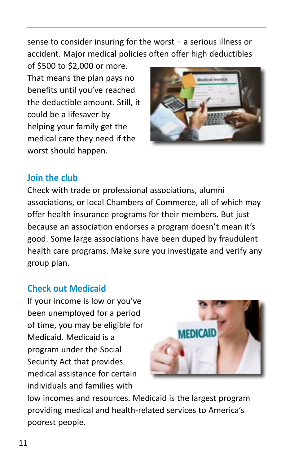sense to consider insuring for the worst – a serious illness or accident. Major medical policies often offer high deductibles

of \$500 to \$2,000 or more. That means the plan pays no benefits until you've reached the deductible amount. Still, it could be a lifesaver by helping your family get the medical care they need if the worst should happen.



#### **Join the club**

Check with trade or professional associations, alumni associations, or local Chambers of Commerce, all of which may offer health insurance programs for their members. But just because an association endorses a program doesn't mean it's good. Some large associations have been duped by fraudulent health care programs. Make sure you investigate and verify any group plan.

#### **Check out Medicaid**

If your income is low or you've been unemployed for a period of time, you may be eligible for Medicaid. Medicaid is a program under the Social Security Act that provides medical assistance for certain individuals and families with



low incomes and resources. Medicaid is the largest program providing medical and health-related services to America's poorest people.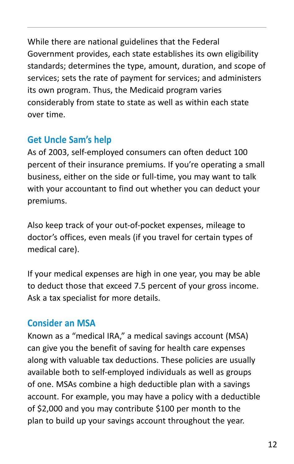While there are national guidelines that the Federal Government provides, each state establishes its own eligibility standards; determines the type, amount, duration, and scope of services; sets the rate of payment for services; and administers its own program. Thus, the Medicaid program varies considerably from state to state as well as within each state over time.

#### **Get Uncle Sam's help**

As of 2003, self-employed consumers can often deduct 100 percent of their insurance premiums. If you're operating a small business, either on the side or full-time, you may want to talk with your accountant to find out whether you can deduct your premiums.

Also keep track of your out-of-pocket expenses, mileage to doctor's offices, even meals (if you travel for certain types of medical care).

If your medical expenses are high in one year, you may be able to deduct those that exceed 7.5 percent of your gross income. Ask a tax specialist for more details.

#### **Consider an MSA**

Known as a "medical IRA," a medical savings account (MSA) can give you the benefit of saving for health care expenses along with valuable tax deductions. These policies are usually available both to self-employed individuals as well as groups of one. MSAs combine a high deductible plan with a savings account. For example, you may have a policy with a deductible of \$2,000 and you may contribute \$100 per month to the plan to build up your savings account throughout the year.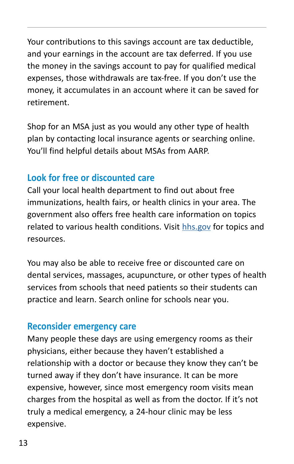Your contributions to this savings account are tax deductible, and your earnings in the account are tax deferred. If you use the money in the savings account to pay for qualified medical expenses, those withdrawals are tax-free. If you don't use the money, it accumulates in an account where it can be saved for retirement.

Shop for an MSA just as you would any other type of health plan by contacting local insurance agents or searching online. You'll find helpful details about MSAs from AARP.

#### **Look for free or discounted care**

Call your local health department to find out about free immunizations, health fairs, or health clinics in your area. The government also offers free health care information on topics related to various health conditions. Visit [hhs.gov](http://hhs.gov) for topics and resources.

You may also be able to receive free or discounted care on dental services, massages, acupuncture, or other types of health services from schools that need patients so their students can practice and learn. Search online for schools near you.

#### **Reconsider emergency care**

Many people these days are using emergency rooms as their physicians, either because they haven't established a relationship with a doctor or because they know they can't be turned away if they don't have insurance. It can be more expensive, however, since most emergency room visits mean charges from the hospital as well as from the doctor. If it's not truly a medical emergency, a 24-hour clinic may be less expensive.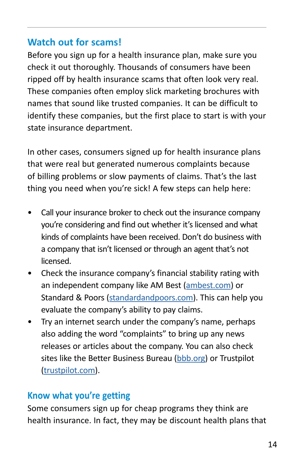#### **Watch out for scams!**

Before you sign up for a health insurance plan, make sure you check it out thoroughly. Thousands of consumers have been ripped off by health insurance scams that often look very real. These companies often employ slick marketing brochures with names that sound like trusted companies. It can be difficult to identify these companies, but the first place to start is with your state insurance department.

In other cases, consumers signed up for health insurance plans that were real but generated numerous complaints because of billing problems or slow payments of claims. That's the last thing you need when you're sick! A few steps can help here:

- Call your insurance broker to check out the insurance company you're considering and find out whether it's licensed and what kinds of complaints have been received. Don't do business with a company that isn't licensed or through an agent that's not licensed.
- Check the insurance company's financial stability rating with an independent company like AM Best [\(ambest.com\)](http://ambest.com) or Standard & Poors ([standardandpoors.com](http://standardandpoors.com)). This can help you evaluate the company's ability to pay claims.
- Try an internet search under the company's name, perhaps also adding the word "complaints" to bring up any news releases or articles about the company. You can also check sites like the Better Business Bureau [\(bbb.org](http://bbb.org)) or Trustpilot ([trustpilot.com](http://trustpilot.com)).

#### **Know what you're getting**

Some consumers sign up for cheap programs they think are health insurance. In fact, they may be discount health plans that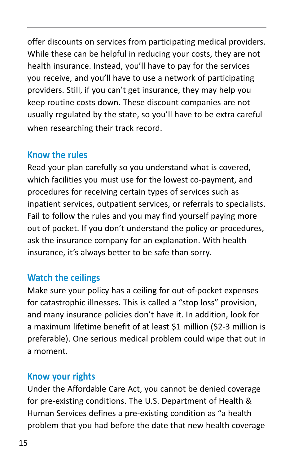offer discounts on services from participating medical providers. While these can be helpful in reducing your costs, they are not health insurance. Instead, you'll have to pay for the services you receive, and you'll have to use a network of participating providers. Still, if you can't get insurance, they may help you keep routine costs down. These discount companies are not usually regulated by the state, so you'll have to be extra careful when researching their track record.

#### **Know the rules**

Read your plan carefully so you understand what is covered, which facilities you must use for the lowest co-payment, and procedures for receiving certain types of services such as inpatient services, outpatient services, or referrals to specialists. Fail to follow the rules and you may find yourself paying more out of pocket. If you don't understand the policy or procedures, ask the insurance company for an explanation. With health insurance, it's always better to be safe than sorry.

#### **Watch the ceilings**

Make sure your policy has a ceiling for out-of-pocket expenses for catastrophic illnesses. This is called a "stop loss" provision, and many insurance policies don't have it. In addition, look for a maximum lifetime benefit of at least \$1 million (\$2-3 million is preferable). One serious medical problem could wipe that out in a moment.

#### **Know your rights**

Under the Affordable Care Act, you cannot be denied coverage for pre-existing conditions. The U.S. Department of Health & Human Services defines a pre-existing condition as "a health problem that you had before the date that new health coverage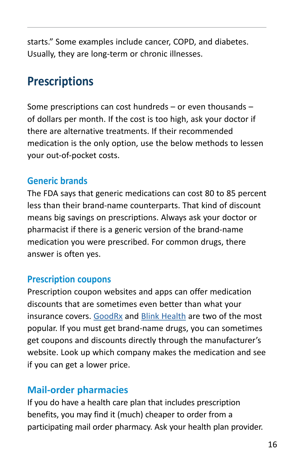starts." Some examples include cancer, COPD, and diabetes. Usually, they are long-term or chronic illnesses.

# **Prescriptions**

Some prescriptions can cost hundreds – or even thousands – of dollars per month. If the cost is too high, ask your doctor if there are alternative treatments. If their recommended medication is the only option, use the below methods to lessen your out-of-pocket costs.

#### **Generic brands**

The FDA says that generic medications can cost 80 to 85 percent less than their brand-name counterparts. That kind of discount means big savings on prescriptions. Always ask your doctor or pharmacist if there is a generic version of the brand-name medication you were prescribed. For common drugs, there answer is often yes.

#### **Prescription coupons**

Prescription coupon websites and apps can offer medication discounts that are sometimes even better than what your insurance covers. [GoodRx](https://www.goodrx.com) and [Blink Health](https://www.blinkhealth.com) are two of the most popular. If you must get brand-name drugs, you can sometimes get coupons and discounts directly through the manufacturer's website. Look up which company makes the medication and see if you can get a lower price.

#### **Mail-order pharmacies**

If you do have a health care plan that includes prescription benefits, you may find it (much) cheaper to order from a participating mail order pharmacy. Ask your health plan provider.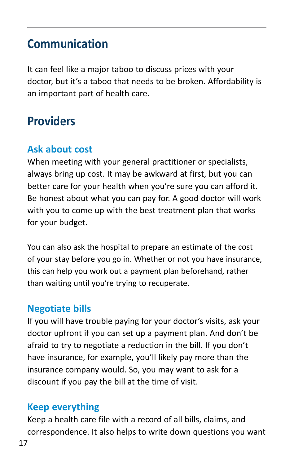## **Communication**

It can feel like a major taboo to discuss prices with your doctor, but it's a taboo that needs to be broken. Affordability is an important part of health care.

# **Providers**

#### **Ask about cost**

When meeting with your general practitioner or specialists, always bring up cost. It may be awkward at first, but you can better care for your health when you're sure you can afford it. Be honest about what you can pay for. A good doctor will work with you to come up with the best treatment plan that works for your budget.

You can also ask the hospital to prepare an estimate of the cost of your stay before you go in. Whether or not you have insurance, this can help you work out a payment plan beforehand, rather than waiting until you're trying to recuperate.

#### **Negotiate bills**

If you will have trouble paying for your doctor's visits, ask your doctor upfront if you can set up a payment plan. And don't be afraid to try to negotiate a reduction in the bill. If you don't have insurance, for example, you'll likely pay more than the insurance company would. So, you may want to ask for a discount if you pay the bill at the time of visit.

#### **Keep everything**

Keep a health care file with a record of all bills, claims, and correspondence. It also helps to write down questions you want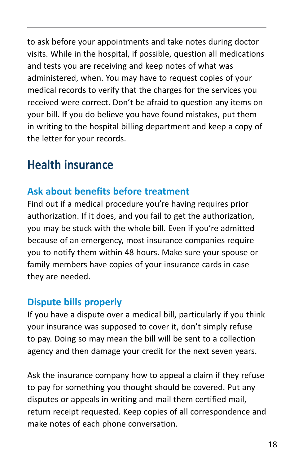to ask before your appointments and take notes during doctor visits. While in the hospital, if possible, question all medications and tests you are receiving and keep notes of what was administered, when. You may have to request copies of your medical records to verify that the charges for the services you received were correct. Don't be afraid to question any items on your bill. If you do believe you have found mistakes, put them in writing to the hospital billing department and keep a copy of the letter for your records.

# **Health insurance**

#### **Ask about benefits before treatment**

Find out if a medical procedure you're having requires prior authorization. If it does, and you fail to get the authorization, you may be stuck with the whole bill. Even if you're admitted because of an emergency, most insurance companies require you to notify them within 48 hours. Make sure your spouse or family members have copies of your insurance cards in case they are needed.

#### **Dispute bills properly**

If you have a dispute over a medical bill, particularly if you think your insurance was supposed to cover it, don't simply refuse to pay. Doing so may mean the bill will be sent to a collection agency and then damage your credit for the next seven years.

Ask the insurance company how to appeal a claim if they refuse to pay for something you thought should be covered. Put any disputes or appeals in writing and mail them certified mail, return receipt requested. Keep copies of all correspondence and make notes of each phone conversation.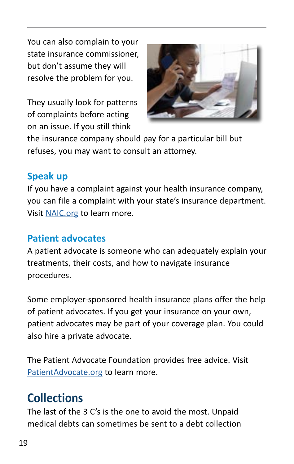You can also complain to your state insurance commissioner, but don't assume they will resolve the problem for you.

They usually look for patterns of complaints before acting on an issue. If you still think



the insurance company should pay for a particular bill but refuses, you may want to consult an attorney.

#### **Speak up**

If you have a complaint against your health insurance company, you can file a complaint with your state's insurance department. Visit [NAIC.org](http://NAIC.org) to learn more.

#### **Patient advocates**

A patient advocate is someone who can adequately explain your treatments, their costs, and how to navigate insurance procedures.

Some employer-sponsored health insurance plans offer the help of patient advocates. If you get your insurance on your own, patient advocates may be part of your coverage plan. You could also hire a private advocate.

The Patient Advocate Foundation provides free advice. Visit [PatientAdvocate.org](https://www.patientadvocate.org/) to learn more.

# **Collections**

The last of the 3 C's is the one to avoid the most. Unpaid medical debts can sometimes be sent to a debt collection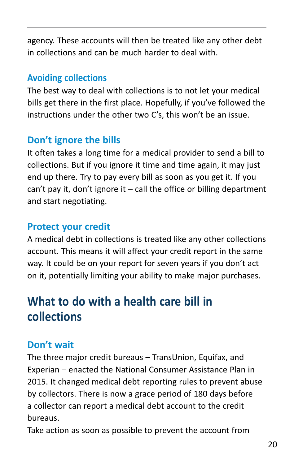agency. These accounts will then be treated like any other debt in collections and can be much harder to deal with.

#### **Avoiding collections**

The best way to deal with collections is to not let your medical bills get there in the first place. Hopefully, if you've followed the instructions under the other two C's, this won't be an issue.

#### **Don't ignore the bills**

It often takes a long time for a medical provider to send a bill to collections. But if you ignore it time and time again, it may just end up there. Try to pay every bill as soon as you get it. If you can't pay it, don't ignore it  $-$  call the office or billing department and start negotiating.

#### **Protect your credit**

A medical debt in collections is treated like any other collections account. This means it will affect your credit report in the same way. It could be on your report for seven years if you don't act on it, potentially limiting your ability to make major purchases.

# **What to do with a health care bill in collections**

#### **Don't wait**

The three major credit bureaus – TransUnion, Equifax, and Experian – enacted the National Consumer Assistance Plan in 2015. It changed medical debt reporting rules to prevent abuse by collectors. There is now a grace period of 180 days before a collector can report a medical debt account to the credit bureaus.

Take action as soon as possible to prevent the account from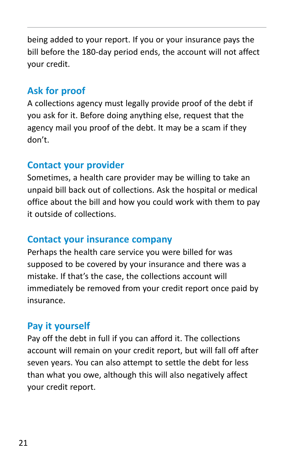being added to your report. If you or your insurance pays the bill before the 180-day period ends, the account will not affect your credit.

#### **Ask for proof**

A collections agency must legally provide proof of the debt if you ask for it. Before doing anything else, request that the agency mail you proof of the debt. It may be a scam if they don't.

#### **Contact your provider**

Sometimes, a health care provider may be willing to take an unpaid bill back out of collections. Ask the hospital or medical office about the bill and how you could work with them to pay it outside of collections.

#### **Contact your insurance company**

Perhaps the health care service you were billed for was supposed to be covered by your insurance and there was a mistake. If that's the case, the collections account will immediately be removed from your credit report once paid by insurance.

#### **Pay it yourself**

Pay off the debt in full if you can afford it. The collections account will remain on your credit report, but will fall off after seven years. You can also attempt to settle the debt for less than what you owe, although this will also negatively affect your credit report.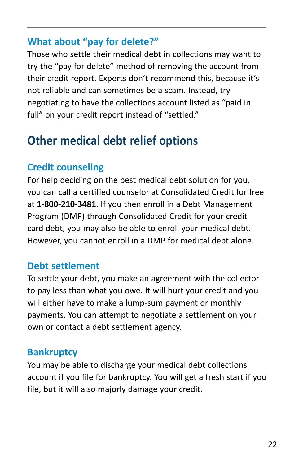#### **What about "pay for delete?"**

Those who settle their medical debt in collections may want to try the "pay for delete" method of removing the account from their credit report. Experts don't recommend this, because it's not reliable and can sometimes be a scam. Instead, try negotiating to have the collections account listed as "paid in full" on your credit report instead of "settled."

# **Other medical debt relief options**

#### **Credit counseling**

For help deciding on the best medical debt solution for you, you can call a certified counselor at Consolidated Credit for free at **1-800-210-3481**. If you then enroll in a Debt Management Program (DMP) through Consolidated Credit for your credit card debt, you may also be able to enroll your medical debt. However, you cannot enroll in a DMP for medical debt alone.

#### **Debt settlement**

To settle your debt, you make an agreement with the collector to pay less than what you owe. It will hurt your credit and you will either have to make a lump-sum payment or monthly payments. You can attempt to negotiate a settlement on your own or contact a debt settlement agency.

#### **Bankruptcy**

You may be able to discharge your medical debt collections account if you file for bankruptcy. You will get a fresh start if you file, but it will also majorly damage your credit.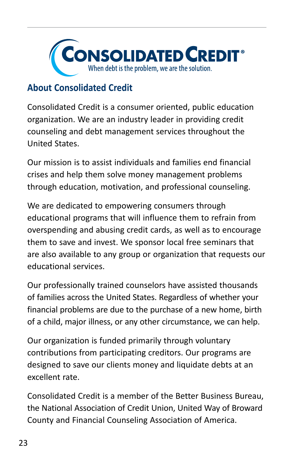

#### **About Consolidated Credit**

Consolidated Credit is a consumer oriented, public education organization. We are an industry leader in providing credit counseling and debt management services throughout the United States.

Our mission is to assist individuals and families end financial crises and help them solve money management problems through education, motivation, and professional counseling.

We are dedicated to empowering consumers through educational programs that will influence them to refrain from overspending and abusing credit cards, as well as to encourage them to save and invest. We sponsor local free seminars that are also available to any group or organization that requests our educational services.

Our professionally trained counselors have assisted thousands of families across the United States. Regardless of whether your financial problems are due to the purchase of a new home, birth of a child, major illness, or any other circumstance, we can help.

Our organization is funded primarily through voluntary contributions from participating creditors. Our programs are designed to save our clients money and liquidate debts at an excellent rate.

Consolidated Credit is a member of the Better Business Bureau, the National Association of Credit Union, United Way of Broward County and Financial Counseling Association of America.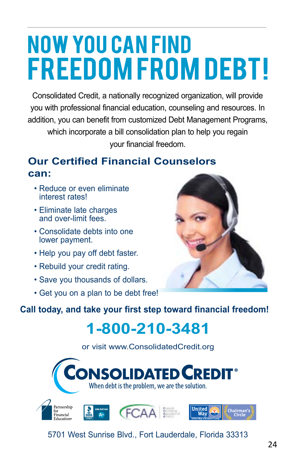# **NOW YOU CAN FIND FREEDOM FROM DEBT!**

Consolidated Credit, a nationally recognized organization, will provide you with professional financial education, counseling and resources. In addition, you can benefit from customized Debt Management Programs, which incorporate a bill consolidation plan to help you regain your financial freedom.

#### **Our Certified Financial Counselors can:**

- Reduce or even eliminate interest rates!
- Eliminate late charges and over-limit fees.
- Consolidate debts into one lower payment.
- Help you pay off debt faster.
- Rebuild your credit rating.
- Save you thousands of dollars.
- Get you on a plan to be debt free!



**Call today, and take your first step toward financial freedom!**

# **1-800-210-3481**

or visit www.ConsolidatedCredit.org

**NSOLIDATED CREDIT<sup>®</sup>**<br>When debt is the problem, we are the solution.



5701 West Sunrise Blvd., Fort Lauderdale, Florida 33313